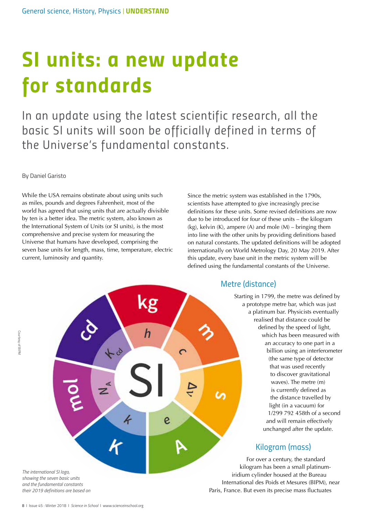# *SI units: a new update for standards*

In an update using the latest scientific research, all the basic SI units will soon be officially defined in terms of *the Universe's fundamental constants.*

By Daniel Garisto

While the USA remains obstinate about using units such as miles, pounds and degrees Fahrenheit, most of the world has agreed that using units that are actually divisible by ten is a better idea. The metric system, also known as the International System of Units (or SI units), is the most comprehensive and precise system for measuring the Universe that humans have developed, comprising the seven base units for length, mass, time, temperature, electric current, luminosity and quantity.

Since the metric system was established in the 1790s, scientists have attempted to give increasingly precise definitions for these units. Some revised definitions are now due to be introduced for four of these units – the kilogram (kg), kelvin  $(K)$ , ampere  $(A)$  and mole  $(M)$  – bringing them into line with the other units by providing definitions based on natural constants. The updated definitions will be adopted internationally on World Metrology Day, 20 May 2019. After this update, every base unit in the metric system will be defined using the fundamental constants of the Universe.



*Metre (distance)*

Starting in 1799, the metre was defined by a prototype metre bar, which was just a platinum bar. Physicists eventually realised that distance could be defined by the speed of light, which has been measured with an accuracy to one part in a billion using an interferometer (the same type of detector that was used recently to discover gravitational waves). The metre (m) is currently defined as the distance travelled by light (in a vacuum) for 1/299 792 458th of a second and will remain effectively unchanged after the update.

# *Kilogram (mass)*

For over a century, the standard kilogram has been a small platinumiridium cylinder housed at the Bureau International des Poids et Mesures (BIPM), near Paris, France. But even its precise mass fluctuates

*and the fundamental constants their 2019 definitions are based on*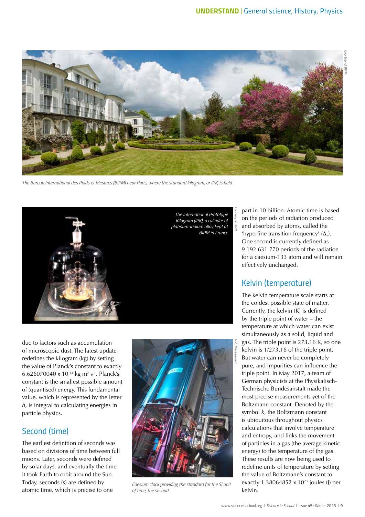

*The Bureau International des Poids et Mesures (BIPM) near Paris, where the standard kilogram, or IPK, is held*



due to factors such as accumulation of microscopic dust. The latest update redefines the kilogram (kg) by setting the value of Planck's constant to exactly 6.626070040 x 10-34 kg m2 s-1. Planck's constant is the smallest possible amount of (quantised) energy. This fundamental value, which is represented by the letter *h*, is integral to calculating energies in particle physics.

#### *Second (time)*

The earliest definition of seconds was based on divisions of time between full moons. Later, seconds were defined by solar days, and eventually the time it took Earth to orbit around the Sun. Today, seconds (s) are defined by atomic time, which is precise to one



*Caesium clock providing the standard for the SI unit of time, the second*

part in 10 billion. Atomic time is based on the periods of radiation produced and absorbed by atoms, called the 'hyperfine transition frequency'  $(\Delta_v)$ . One second is currently defined as 9 192 631 770 periods of the radiation for a caesium-133 atom and will remain effectively unchanged.

#### *Kelvin (temperature)*

The kelvin temperature scale starts at the coldest possible state of matter. Currently, the kelvin (K) is defined by the triple point of water – the temperature at which water can exist simultaneously as a solid, liquid and gas. The triple point is 273.16 K, so one kelvin is 1/273.16 of the triple point. But water can never be completely pure, and impurities can influence the triple point. In May 2017, a team of German physicists at the Physikalisch-Technische Bundesanstalt made the most precise measurements yet of the Boltzmann constant. Denoted by the symbol *k*, the Boltzmann constant is ubiquitous throughout physics calculations that involve temperature and entropy, and links the movement of particles in a gas (the average kinetic energy) to the temperature of the gas. These results are now being used to redefine units of temperature by setting the value of Boltzmann's constant to exactly 1.38064852  $\times$  10<sup>23</sup> joules (J) per kelvin.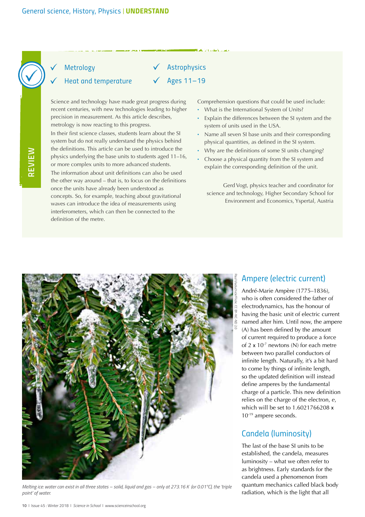

## *Metrology*

#### *Heat and temperature*

Science and technology have made great progress during recent centuries, with new technologies leading to higher precision in measurement. As this article describes, metrology is now reacting to this progress.

In their first science classes, students learn about the SI system but do not really understand the physics behind the definitions. This article can be used to introduce the physics underlying the base units to students aged 11–16, or more complex units to more advanced students. The information about unit definitions can also be used the other way around – that is, to focus on the definitions once the units have already been understood as concepts. So, for example, teaching about gravitational waves can introduce the idea of measurements using interferometers, which can then be connected to the definition of the metre.

Comprehension questions that could be used include:

· What is the International System of Units?

*Astrophysics*

*Ages 11–19*

- · Explain the differences between the SI system and the system of units used in the USA.
- · Name all seven SI base units and their corresponding physical quantities, as defined in the SI system.
- · Why are the definitions of some SI units changing?
- Choose a physical quantity from the SI system and explain the corresponding definition of the unit.

Gerd Vogt, physics teacher and coordinator for science and technology, Higher Secondary School for Environment and Economics, Yspertal, Austria



*Melting ice: water can exist in all three states – solid, liquid and gas – only at 273.16 K (or 0.01°C), the 'triple point' of water.*

#### *Ampere (electric current)*

André-Marie Ampère (1775–1836), who is often considered the father of electrodynamics, has the honour of having the basic unit of electric current named after him. Until now, the ampere (A) has been defined by the amount of current required to produce a force of 2 x 10-7 newtons (N) for each metre between two parallel conductors of infinite length. Naturally, it's a bit hard to come by things of infinite length, so the updated definition will instead define amperes by the fundamental charge of a particle. This new definition relies on the charge of the electron, *e*, which will be set to 1.6021766208 x 10-19 ampere seconds.

#### *Candela (luminosity)*

The last of the base SI units to be established, the candela, measures luminosity – what we often refer to as brightness. Early standards for the candela used a phenomenon from quantum mechanics called black body radiation, which is the light that all